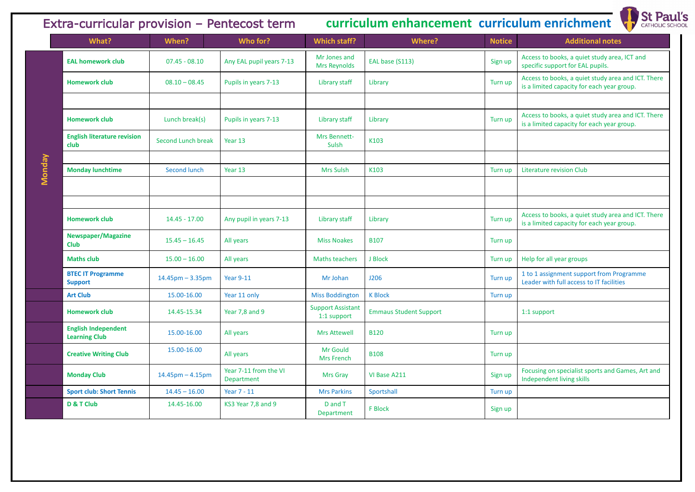**Monday**



Access to books, a quiet study area and ICT. There is a limited capacity for each year group.

Access to books, a quiet study area and ICT. There is a limited capacity for each year group.

Access to books, a quiet study area and ICT. There is a limited capacity for each year group.

Focusing on specialist sports and Games, Art and Independent living skills

| What?                                              | When?                     | Who for?                            | <b>Which staff?</b>                     | Where?                        | <b>Notice</b> | <b>Additional notes</b>                                                                    |
|----------------------------------------------------|---------------------------|-------------------------------------|-----------------------------------------|-------------------------------|---------------|--------------------------------------------------------------------------------------------|
| <b>EAL homework club</b>                           | $07.45 - 08.10$           | Any EAL pupil years 7-13            | Mr Jones and<br>Mrs Reynolds            | EAL base (S113)               | Sign up       | Access to books, a quiet study area, ICT and<br>specific support for EAL pupils.           |
| <b>Homework club</b>                               | $08.10 - 08.45$           | Pupils in years 7-13                | Library staff                           | Library                       | Turn up       | Access to books, a quiet study area and ICT.<br>is a limited capacity for each year group. |
|                                                    |                           |                                     |                                         |                               |               |                                                                                            |
| <b>Homework club</b>                               | Lunch break(s)            | Pupils in years 7-13                | Library staff                           | Library                       | Turn up       | Access to books, a quiet study area and ICT.<br>is a limited capacity for each year group. |
| <b>English literature revision</b><br>club         | <b>Second Lunch break</b> | Year 13                             | Mrs Bennett-<br>Sulsh                   | K103                          |               |                                                                                            |
|                                                    |                           |                                     |                                         |                               |               |                                                                                            |
| <b>Monday lunchtime</b>                            | Second lunch              | Year 13                             | <b>Mrs Sulsh</b>                        | K103                          | Turn up       | Literature revision Club                                                                   |
|                                                    |                           |                                     |                                         |                               |               |                                                                                            |
|                                                    |                           |                                     |                                         |                               |               |                                                                                            |
| <b>Homework club</b>                               | $14.45 - 17.00$           | Any pupil in years 7-13             | Library staff                           | Library                       | Turn up       | Access to books, a quiet study area and ICT.<br>is a limited capacity for each year group. |
| <b>Newspaper/Magazine</b><br><b>Club</b>           | $15.45 - 16.45$           | All years                           | <b>Miss Noakes</b>                      | <b>B107</b>                   | Turn up       |                                                                                            |
| <b>Maths club</b>                                  | $15.00 - 16.00$           | All years                           | <b>Maths teachers</b>                   | J Block                       | Turn up       | Help for all year groups                                                                   |
| <b>BTEC IT Programme</b><br><b>Support</b>         | $14.45$ pm – 3.35pm       | <b>Year 9-11</b>                    | Mr Johan                                | <b>J206</b>                   | Turn up       | 1 to 1 assignment support from Programme<br>Leader with full access to IT facilities       |
| <b>Art Club</b>                                    | 15.00-16.00               | Year 11 only                        | <b>Miss Boddington</b>                  | <b>K Block</b>                | Turn up       |                                                                                            |
| <b>Homework club</b>                               | 14.45-15.34               | Year 7,8 and 9                      | <b>Support Assistant</b><br>1:1 support | <b>Emmaus Student Support</b> |               | 1:1 support                                                                                |
| <b>English Independent</b><br><b>Learning Club</b> | 15.00-16.00               | All years                           | <b>Mrs Attewell</b>                     | <b>B120</b>                   | Turn up       |                                                                                            |
| <b>Creative Writing Club</b>                       | 15.00-16.00               | All years                           | Mr Gould<br><b>Mrs French</b>           | <b>B108</b>                   | Turn up       |                                                                                            |
| <b>Monday Club</b>                                 | $14.45$ pm $- 4.15$ pm    | Year 7-11 from the VI<br>Department | Mrs Gray                                | VI Base A211                  | Sign up       | Focusing on specialist sports and Games, Art<br>Independent living skills                  |
| <b>Sport club: Short Tennis</b>                    | $14.45 - 16.00$           | Year 7 - 11                         | <b>Mrs Parkins</b>                      | Sportshall                    | Turn up       |                                                                                            |
| D & T Club                                         | 14.45-16.00               | KS3 Year 7,8 and 9                  | D and T<br>Department                   | F Block                       | Sign up       |                                                                                            |

# Extra-curricular provision – Pentecost term **curriculum enhancement curriculum enrichment**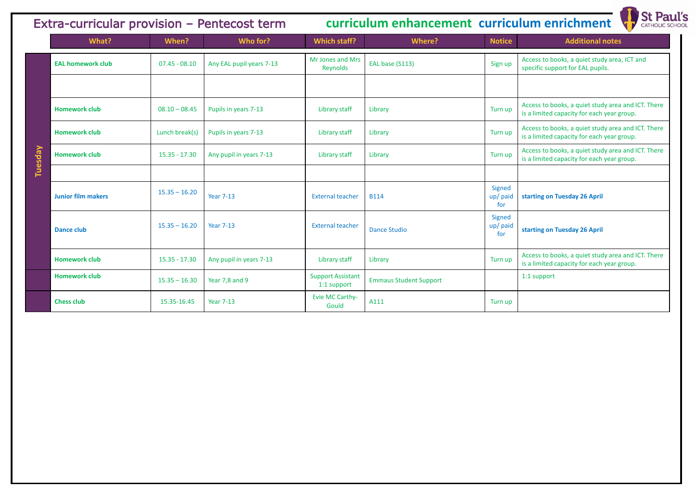Access to books, a quiet study area, ICT and specific support for EAL pupils.

**Access to books, a quiet study area and ICT. There** s a limited capacity for each year group.

**Access to books, a quiet study area and ICT. There** s a limited capacity for each year group.

**Access to books, a quiet study area and ICT. There** s a limited capacity for each year group.

| Extra-curricular provision - Pentecost term |                           |                 | curriculum enhancement curriculum enrichment |                                         |                               |                           |                                                                               |
|---------------------------------------------|---------------------------|-----------------|----------------------------------------------|-----------------------------------------|-------------------------------|---------------------------|-------------------------------------------------------------------------------|
|                                             | What?                     | When?           | Who for?                                     | Which staff?                            | <b>Where?</b>                 | <b>Notice</b>             | <b>Additional notes</b>                                                       |
|                                             | <b>EAL homework club</b>  | $07.45 - 08.10$ | Any EAL pupil years 7-13                     | Mr Jones and Mrs<br>Reynolds            | EAL base (S113)               | Sign up                   | Access to books, a quiet study area,<br>specific support for EAL pupils.      |
|                                             |                           |                 |                                              |                                         |                               |                           |                                                                               |
|                                             | <b>Homework club</b>      | $08.10 - 08.45$ | Pupils in years 7-13                         | Library staff                           | Library                       |                           | Access to books, a quiet study area<br>is a limited capacity for each year gr |
|                                             | <b>Homework club</b>      | Lunch break(s)  | Pupils in years 7-13                         | Library staff                           | Library                       | Turn up                   | Access to books, a quiet study area<br>is a limited capacity for each year go |
| Tuesday                                     | <b>Homework club</b>      | $15.35 - 17.30$ | Any pupil in years 7-13                      | Library staff                           | Library                       | Turn up                   | Access to books, a quiet study area<br>is a limited capacity for each year go |
|                                             |                           |                 |                                              |                                         |                               |                           |                                                                               |
|                                             | <b>Junior film makers</b> | $15.35 - 16.20$ | <b>Year 7-13</b>                             | <b>External teacher</b>                 | <b>B114</b>                   | Signed<br>up/paid<br>for  | starting on Tuesday 26 April                                                  |
|                                             | <b>Dance club</b>         | $15.35 - 16.20$ | <b>Year 7-13</b>                             | <b>External teacher</b>                 | <b>Dance Studio</b>           | Signed<br>up/ paid<br>for | starting on Tuesday 26 April                                                  |
|                                             | <b>Homework club</b>      | $15.35 - 17.30$ | Any pupil in years 7-13                      | Library staff                           | Library                       | Turn up                   | Access to books, a quiet study area<br>is a limited capacity for each year go |
|                                             | <b>Homework club</b>      | $15.35 - 16.30$ | Year 7,8 and 9                               | <b>Support Assistant</b><br>1:1 support | <b>Emmaus Student Support</b> |                           | 1:1 support                                                                   |
|                                             | <b>Chess club</b>         | 15.35-16.45     | <b>Year 7-13</b>                             | Evie MC Carthy-<br>Gould                | A111                          | Turn up                   |                                                                               |

# **Extra-currichment**



Access to books, a quiet study area and ICT. There s a limited capacity for each year group.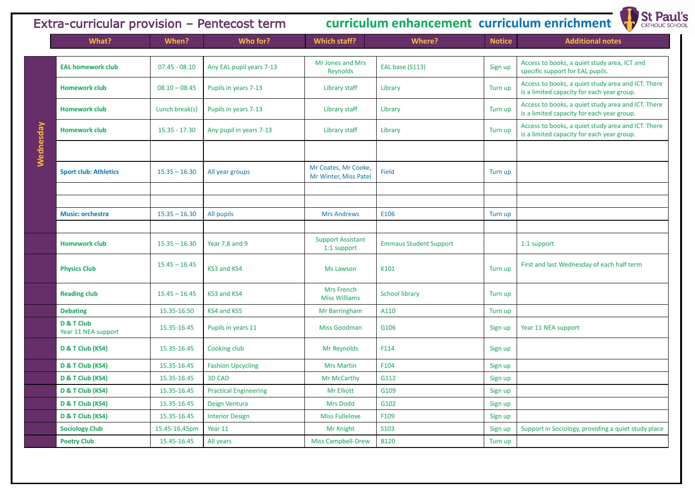| Extra-curricular provision - Pentecost term |                                   |                 | curriculum enhancement curriculum enrichment |                                               |                               |               |                                                                               |
|---------------------------------------------|-----------------------------------|-----------------|----------------------------------------------|-----------------------------------------------|-------------------------------|---------------|-------------------------------------------------------------------------------|
|                                             | What?                             | When?           | Who for?                                     | Which staff?                                  | <b>Where?</b>                 | <b>Notice</b> | <b>Additional notes</b>                                                       |
|                                             | <b>EAL homework club</b>          | $07.45 - 08.10$ | Any EAL pupil years 7-13                     | Mr Jones and Mrs<br>Reynolds                  | EAL base (S113)               | Sign up       | Access to books, a quiet study area,<br>specific support for EAL pupils.      |
|                                             | <b>Homework club</b>              | $08.10 - 08.45$ | Pupils in years 7-13                         | Library staff                                 | Library                       | Turn up       | Access to books, a quiet study area<br>is a limited capacity for each year gr |
|                                             | <b>Homework club</b>              | Lunch break(s)  | Pupils in years 7-13                         | Library staff                                 | Library                       | Turn up       | Access to books, a quiet study area<br>is a limited capacity for each year gr |
| Wednesday                                   | <b>Homework club</b>              | $15.35 - 17.30$ | Any pupil in years 7-13                      | Library staff                                 | Library                       | Turn up       | Access to books, a quiet study area<br>is a limited capacity for each year gr |
|                                             | <b>Sport club: Athletics</b>      | $15.35 - 16.30$ | All year groups                              | Mr Coates, Mr Cooke,<br>Mr Winter, Miss Patel | Field                         | Turn up       |                                                                               |
|                                             | <b>Music: orchestra</b>           | $15.35 - 16.30$ | All pupils                                   | <b>Mrs Andrews</b>                            | E106                          | Turn up       |                                                                               |
|                                             | <b>Homework club</b>              | $15.35 - 16.30$ | Year 7,8 and 9                               | <b>Support Assistant</b><br>1:1 support       | <b>Emmaus Student Support</b> |               | 1:1 support                                                                   |
|                                             | <b>Physics Club</b>               | $15.45 - 16.45$ | KS3 and KS4                                  | <b>Ms Lawson</b>                              | K101                          | Turn up       | First and last Wednesday of each ha                                           |
|                                             | <b>Reading club</b>               | $15.45 - 16.45$ | KS3 and KS4                                  | Mrs French<br><b>Miss Williams</b>            | <b>School library</b>         | Turn up       |                                                                               |
|                                             | <b>Debating</b>                   | 15.35-16.50     | KS4 and KS5                                  | Mr Barringham                                 | A110                          | Turn up       |                                                                               |
|                                             | D & T Club<br>Year 11 NEA support | 15.35-16.45     | Pupils in years 11                           | <b>Miss Goodman</b>                           | G106                          | Sign up       | Year 11 NEA support                                                           |
|                                             | D & T Club (KS4)                  | 15.35-16.45     | Cooking club                                 | Mr Reynolds                                   | F114                          | Sign up       |                                                                               |
|                                             | D & T Club (KS4)                  | 15.35-16.45     | <b>Fashion Upcycling</b>                     | <b>Mrs Martin</b>                             | F104                          | Sign up       |                                                                               |
|                                             | D & T Club (KS4)                  | 15.35-16.45     | <b>3D CAD</b>                                | Mr McCarthy                                   | G112                          | Sign up       |                                                                               |
|                                             | D & T Club (KS4)                  | 15.35-16.45     | <b>Practical Engineering</b>                 | Mr Elliott                                    | G109                          | Sign up       |                                                                               |
|                                             | D & T Club (KS4)                  | 15.35-16.45     | Deign Ventura                                | <b>Mrs Dodd</b>                               | G102                          | Sign up       |                                                                               |
|                                             | D & T Club (KS4)                  | 15.35-16.45     | <b>Interior Design</b>                       | <b>Miss Fullelove</b>                         | F109                          | Sign up       |                                                                               |
|                                             | <b>Sociology Club</b>             | 15.45-16.45pm   | Year 11                                      | Mr Knight                                     | S103                          | Sign up       | Support in Sociology, providing a qu                                          |
|                                             | <b>Poetry Club</b>                | 15.45-16.45     | All years                                    | <b>Miss Campbell-Drew</b>                     | <b>B120</b>                   | Turn up       |                                                                               |

# **Extra-currichment**



Access to books, a quiet study area, ICT and pecific support for EAL pupils.

**Access to books, a quiet study area and ICT. There** s a limited capacity for each year group.

**Access to books, a quiet study area and ICT. There** s a limited capacity for each year group.

Access to books, a quiet study area and ICT. There s a limited capacity for each year group.

**Physics and last Wednesday of each half term** 

upport in Sociology, providing a quiet study place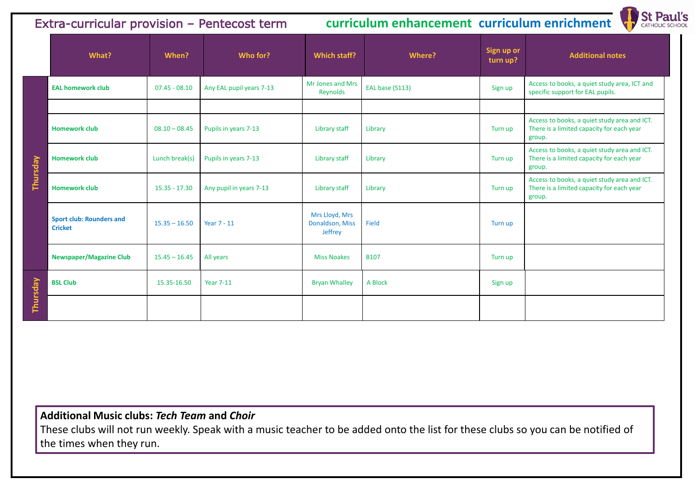|          | What?                                             | When?           | Who for?                 | Which staff?                                 | <b>Where?</b>   | Sign up or<br>turn up? | <b>Additional notes</b>                                                                             |
|----------|---------------------------------------------------|-----------------|--------------------------|----------------------------------------------|-----------------|------------------------|-----------------------------------------------------------------------------------------------------|
|          | <b>EAL homework club</b>                          | $07.45 - 08.10$ | Any EAL pupil years 7-13 | Mr Jones and Mrs<br>Reynolds                 | EAL base (S113) | Sign up                | Access to books, a quiet study area, ICT and<br>specific support for EAL pupils.                    |
|          | <b>Homework club</b>                              | $08.10 - 08.45$ | Pupils in years 7-13     | Library staff                                | Library         | Turn up                | Access to books, a quiet study area and ICT.<br>There is a limited capacity for each year<br>group. |
|          | <b>Homework club</b>                              | Lunch break(s)  | Pupils in years 7-13     | <b>Library staff</b>                         | Library         | Turn up                | Access to books, a quiet study area and ICT.<br>There is a limited capacity for each year<br>group. |
| Thursday | <b>Homework club</b>                              | $15.35 - 17.30$ | Any pupil in years 7-13  | Library staff                                | Library         | Turn up                | Access to books, a quiet study area and ICT.<br>There is a limited capacity for each year<br>group. |
|          | <b>Sport club: Rounders and</b><br><b>Cricket</b> | $15.35 - 16.50$ | <b>Year 7 - 11</b>       | Mrs Lloyd, Mrs<br>Donaldson, Miss<br>Jeffrey | Field           | Turn up                |                                                                                                     |
|          | <b>Newspaper/Magazine Club</b>                    | $15.45 - 16.45$ | All years                | <b>Miss Noakes</b>                           | <b>B107</b>     | Turn up                |                                                                                                     |
| Thursday | <b>BSL Club</b>                                   | 15.35-16.50     | <b>Year 7-11</b>         | <b>Bryan Whalley</b>                         | A Block         | Sign up                |                                                                                                     |
|          |                                                   |                 |                          |                                              |                 |                        |                                                                                                     |

| $\mathop{\sf sign}$ up or<br>turn up? | <b>Additional notes</b>                                                                             |
|---------------------------------------|-----------------------------------------------------------------------------------------------------|
| Sign up                               | Access to books, a quiet study area, ICT and<br>specific support for EAL pupils.                    |
|                                       |                                                                                                     |
| Turn up                               | Access to books, a quiet study area and ICT.<br>There is a limited capacity for each year<br>group. |
| Turn up                               | Access to books, a quiet study area and ICT.<br>There is a limited capacity for each year<br>group. |
| Turn up                               | Access to books, a quiet study area and ICT.<br>There is a limited capacity for each year<br>group. |
|                                       |                                                                                                     |

# Extra-curricular provision – Pentecost term **curriculum enhancement curriculum enrichment**

## **Additional Music clubs:** *Tech Team* **and** *Choir*

These clubs will not run weekly. Speak with a music teacher to be added onto the list for these clubs so you can be notified of the times when they run.